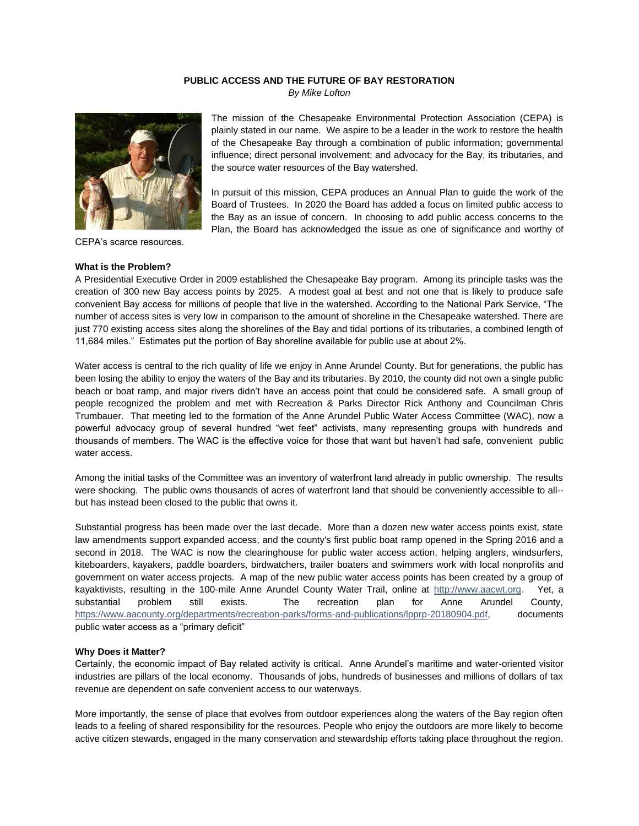## **PUBLIC ACCESS AND THE FUTURE OF BAY RESTORATION**

*By Mike Lofton*



CEPA's scarce resources.

## **What is the Problem?**

The mission of the Chesapeake Environmental Protection Association (CEPA) is plainly stated in our name. We aspire to be a leader in the work to restore the health of the Chesapeake Bay through a combination of public information; governmental influence; direct personal involvement; and advocacy for the Bay, its tributaries, and the source water resources of the Bay watershed.

In pursuit of this mission, CEPA produces an Annual Plan to guide the work of the Board of Trustees. In 2020 the Board has added a focus on limited public access to the Bay as an issue of concern. In choosing to add public access concerns to the Plan, the Board has acknowledged the issue as one of significance and worthy of

A Presidential Executive Order in 2009 established the Chesapeake Bay program. Among its principle tasks was the creation of 300 new Bay access points by 2025. A modest goal at best and not one that is likely to produce safe convenient Bay access for millions of people that live in the watershed. According to the National Park Service, "The number of access sites is very low in comparison to the amount of shoreline in the Chesapeake watershed. There are just 770 existing access sites along the shorelines of the Bay and tidal portions of its tributaries, a combined length of 11,684 miles." Estimates put the portion of Bay shoreline available for public use at about 2%.

Water access is central to the rich quality of life we enjoy in Anne Arundel County. But for generations, the public has been losing the ability to enjoy the waters of the Bay and its tributaries. By 2010, the county did not own a single public beach or boat ramp, and major rivers didn't have an access point that could be considered safe. A small group of people recognized the problem and met with Recreation & Parks Director Rick Anthony and Councilman Chris Trumbauer. That meeting led to the formation of the Anne Arundel Public Water Access Committee (WAC), now a powerful advocacy group of several hundred "wet feet" activists, many representing groups with hundreds and thousands of members. The WAC is the effective voice for those that want but haven't had safe, convenient public water access.

Among the initial tasks of the Committee was an inventory of waterfront land already in public ownership. The results were shocking. The public owns thousands of acres of waterfront land that should be conveniently accessible to all- but has instead been closed to the public that owns it.

Substantial progress has been made over the last decade. More than a dozen new water access points exist, state law amendments support expanded access, and the county's first public boat ramp opened in the Spring 2016 and a second in 2018. The WAC is now the clearinghouse for public water access action, helping anglers, windsurfers, kiteboarders, kayakers, paddle boarders, birdwatchers, trailer boaters and swimmers work with local nonprofits and government on water access projects. A map of the new public water access points has been created by a group of kayaktivists, resulting in the 100-mile Anne Arundel County Water Trail, online at [http://www.aacwt.org.](http://www.aactw.org/) Yet, a substantial problem still exists. The recreation plan for Anne Arundel County, [https://www.aacounty.org/departments/recreation-parks/forms-and-publications/lpprp-20180904.pdf,](https://www.aacounty.org/departments/recreation-parks/forms-and-publications/lpprp-20180904.pdf) documents public water access as a "primary deficit"

## **Why Does it Matter?**

Certainly, the economic impact of Bay related activity is critical. Anne Arundel's maritime and water-oriented visitor industries are pillars of the local economy. Thousands of jobs, hundreds of businesses and millions of dollars of tax revenue are dependent on safe convenient access to our waterways.

More importantly, the sense of place that evolves from outdoor experiences along the waters of the Bay region often leads to a feeling of shared responsibility for the resources. People who enjoy the outdoors are more likely to become active citizen stewards, engaged in the many conservation and stewardship efforts taking place throughout the region.